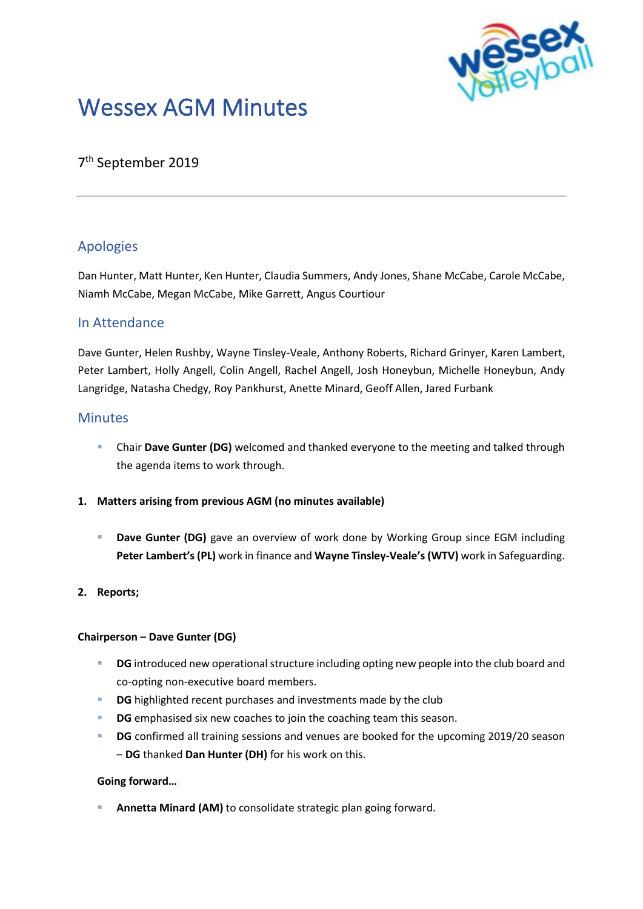

# Wessex AGM Minutes

## 7 th September 2019

### Apologies

Dan Hunter, Matt Hunter, Ken Hunter, Claudia Summers, Andy Jones, Shane McCabe, Carole McCabe, Niamh McCabe, Megan McCabe, Mike Garrett, Angus Courtiour

#### In Attendance

Dave Gunter, Helen Rushby, Wayne Tinsley-Veale, Anthony Roberts, Richard Grinyer, Karen Lambert, Peter Lambert, Holly Angell, Colin Angell, Rachel Angell, Josh Honeybun, Michelle Honeybun, Andy Langridge, Natasha Chedgy, Roy Pankhurst, Anette Minard, Geoff Allen, Jared Furbank

#### **Minutes**

- Chair Dave Gunter (DG) welcomed and thanked everyone to the meeting and talked through the agenda items to work through.
- **1. Matters arising from previous AGM (no minutes available)**
	- **E** Dave Gunter (DG) gave an overview of work done by Working Group since EGM including **Peter Lambert's (PL)** work in finance and **Wayne Tinsley-Veale's (WTV)** work in Safeguarding.

#### **2. Reports;**

#### **Chairperson – Dave Gunter (DG)**

- **DG** introduced new operational structure including opting new people into the club board and co-opting non-executive board members.
- **DG** highlighted recent purchases and investments made by the club
- **DG** emphasised six new coaches to join the coaching team this season.
- **DG** confirmed all training sessions and venues are booked for the upcoming 2019/20 season – **DG** thanked **Dan Hunter (DH)** for his work on this.

#### **Going forward…**

Annetta Minard (AM) to consolidate strategic plan going forward.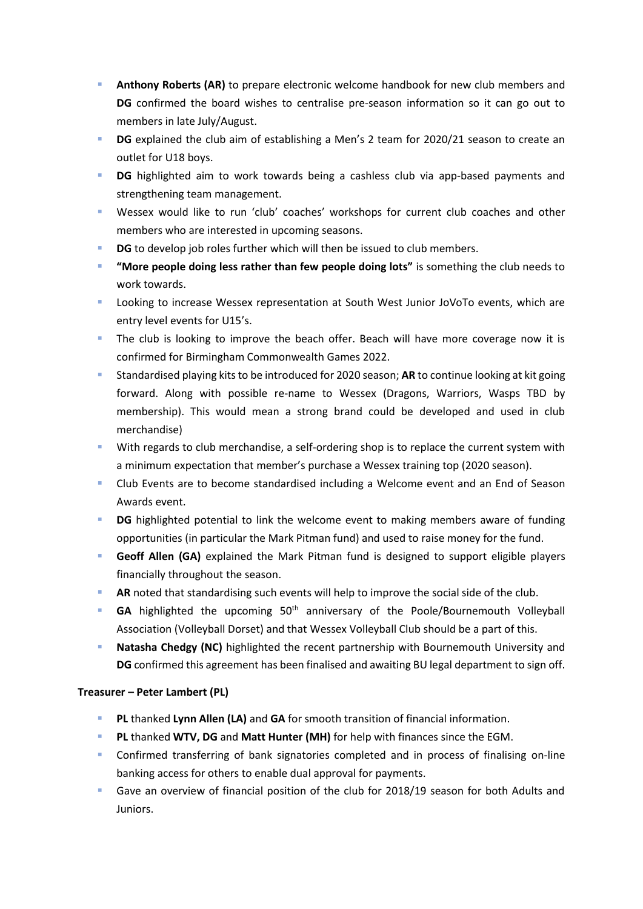- Anthony Roberts (AR) to prepare electronic welcome handbook for new club members and **DG** confirmed the board wishes to centralise pre-season information so it can go out to members in late July/August.
- **DG** explained the club aim of establishing a Men's 2 team for 2020/21 season to create an outlet for U18 boys.
- **DG** highlighted aim to work towards being a cashless club via app-based payments and strengthening team management.
- Wessex would like to run 'club' coaches' workshops for current club coaches and other members who are interested in upcoming seasons.
- **DG** to develop job roles further which will then be issued to club members.
- "More people doing less rather than few people doing lots" is something the club needs to work towards.
- Looking to increase Wessex representation at South West Junior JoVoTo events, which are entry level events for U15's.
- The club is looking to improve the beach offer. Beach will have more coverage now it is confirmed for Birmingham Commonwealth Games 2022.
- Standardised playing kits to be introduced for 2020 season: **AR** to continue looking at kit going forward. Along with possible re-name to Wessex (Dragons, Warriors, Wasps TBD by membership). This would mean a strong brand could be developed and used in club merchandise)
- **EXECT With regards to club merchandise, a self-ordering shop is to replace the current system with** a minimum expectation that member's purchase a Wessex training top (2020 season).
- Club Events are to become standardised including a Welcome event and an End of Season Awards event.
- **DG** highlighted potential to link the welcome event to making members aware of funding opportunities (in particular the Mark Pitman fund) and used to raise money for the fund.
- **Geoff Allen (GA)** explained the Mark Pitman fund is designed to support eligible players financially throughout the season.
- AR noted that standardising such events will help to improve the social side of the club.
- GA highlighted the upcoming 50<sup>th</sup> anniversary of the Poole/Bournemouth Volleyball Association (Volleyball Dorset) and that Wessex Volleyball Club should be a part of this.
- **Natasha Chedgy (NC)** highlighted the recent partnership with Bournemouth University and **DG** confirmed this agreement has been finalised and awaiting BU legal department to sign off.

#### **Treasurer – Peter Lambert (PL)**

- **PL** thanked **Lynn Allen (LA)** and **GA** for smooth transition of financial information.
- PL thanked WTV, DG and Matt Hunter (MH) for help with finances since the EGM.
- **•** Confirmed transferring of bank signatories completed and in process of finalising on-line banking access for others to enable dual approval for payments.
- Gave an overview of financial position of the club for 2018/19 season for both Adults and Juniors.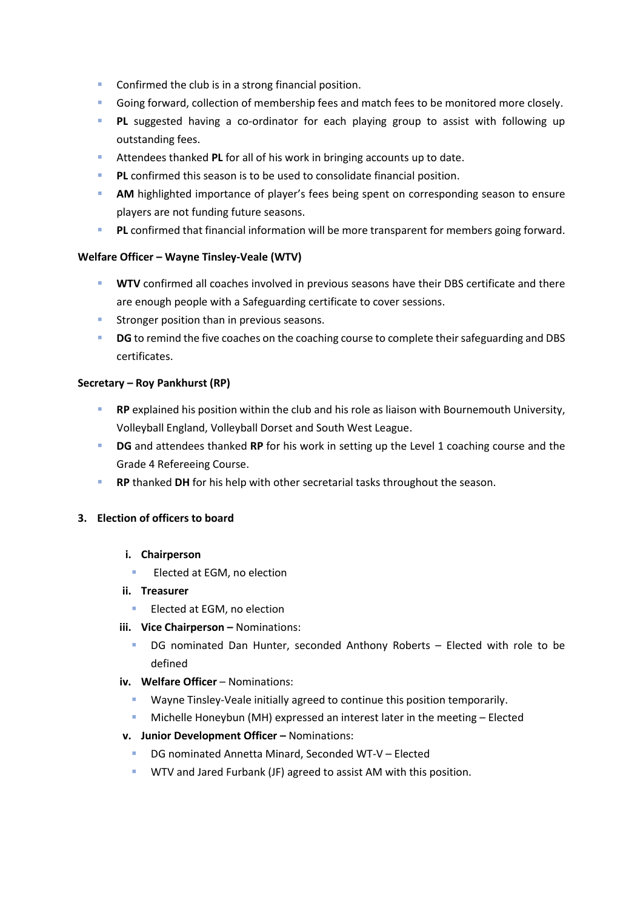- Confirmed the club is in a strong financial position.
- Going forward, collection of membership fees and match fees to be monitored more closely.
- **PL** suggested having a co-ordinator for each playing group to assist with following up outstanding fees.
- Attendees thanked PL for all of his work in bringing accounts up to date.
- **PL** confirmed this season is to be used to consolidate financial position.
- **AM** highlighted importance of player's fees being spent on corresponding season to ensure players are not funding future seasons.
- **PL** confirmed that financial information will be more transparent for members going forward.

#### **Welfare Officer – Wayne Tinsley-Veale (WTV)**

- **WTV** confirmed all coaches involved in previous seasons have their DBS certificate and there are enough people with a Safeguarding certificate to cover sessions.
- **E** Stronger position than in previous seasons.
- **DG** to remind the five coaches on the coaching course to complete their safeguarding and DBS certificates.

#### **Secretary – Roy Pankhurst (RP)**

- **RP** explained his position within the club and his role as liaison with Bournemouth University, Volleyball England, Volleyball Dorset and South West League.
- **DG** and attendees thanked **RP** for his work in setting up the Level 1 coaching course and the Grade 4 Refereeing Course.
- **RP** thanked DH for his help with other secretarial tasks throughout the season.

#### **3. Election of officers to board**

- **i. Chairperson** 
	- Elected at EGM, no election
- **ii. Treasurer** 
	- Elected at EGM, no election
- **iii.** Vice Chairperson Nominations:
	- DG nominated Dan Hunter, seconded Anthony Roberts Elected with role to be defined
- **iv. Welfare Officer** Nominations:
	- Wayne Tinsley-Veale initially agreed to continue this position temporarily.
	- **■** Michelle Honeybun (MH) expressed an interest later in the meeting Elected
- **v. Junior Development Officer –** Nominations:
	- DG nominated Annetta Minard, Seconded WT-V Elected
	- **■** WTV and Jared Furbank (JF) agreed to assist AM with this position.